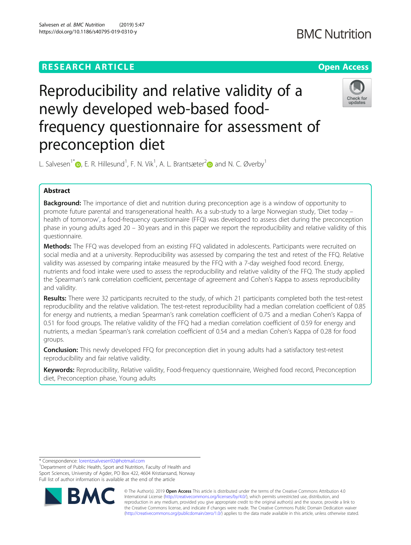

# Reproducibility and relative validity of a newly developed web-based foodfrequency questionnaire for assessment of preconception diet



L. Salvesen<sup>1\*</sup>  $\bullet$ [,](http://orcid.org/0000-0002-3639-334X) E. R. Hillesund<sup>1</sup>, F. N. Vik<sup>1</sup>, A. L. Brantsæter<sup>2</sup> $\bullet$  and N. C. Øverby<sup>1</sup>

# Abstract

**Background:** The importance of diet and nutrition during preconception age is a window of opportunity to promote future parental and transgenerational health. As a sub-study to a large Norwegian study, 'Diet today – health of tomorrow', a food-frequency questionnaire (FFQ) was developed to assess diet during the preconception phase in young adults aged 20 – 30 years and in this paper we report the reproducibility and relative validity of this questionnaire.

**Methods:** The FFQ was developed from an existing FFQ validated in adolescents. Participants were recruited on social media and at a university. Reproducibility was assessed by comparing the test and retest of the FFQ. Relative validity was assessed by comparing intake measured by the FFQ with a 7-day weighed food record. Energy, nutrients and food intake were used to assess the reproducibility and relative validity of the FFQ. The study applied the Spearman's rank correlation coefficient, percentage of agreement and Cohen's Kappa to assess reproducibility and validity.

Results: There were 32 participants recruited to the study, of which 21 participants completed both the test-retest reproducibility and the relative validation. The test-retest reproducibility had a median correlation coefficient of 0.85 for energy and nutrients, a median Spearman's rank correlation coefficient of 0.75 and a median Cohen's Kappa of 0.51 for food groups. The relative validity of the FFQ had a median correlation coefficient of 0.59 for energy and nutrients, a median Spearman's rank correlation coefficient of 0.54 and a median Cohen's Kappa of 0.28 for food groups.

**Conclusion:** This newly developed FFQ for preconception diet in young adults had a satisfactory test-retest reproducibility and fair relative validity.

Keywords: Reproducibility, Relative validity, Food-frequency questionnaire, Weighed food record, Preconception diet, Preconception phase, Young adults

\* Correspondence: [lorentzsalvesen92@hotmail.com](mailto:lorentzsalvesen92@hotmail.com) <sup>1</sup>

<sup>1</sup>Department of Public Health, Sport and Nutrition, Faculty of Health and Sport Sciences, University of Agder, PO Box 422, 4604 Kristiansand, Norway Full list of author information is available at the end of the article



© The Author(s). 2019 **Open Access** This article is distributed under the terms of the Creative Commons Attribution 4.0 International License [\(http://creativecommons.org/licenses/by/4.0/](http://creativecommons.org/licenses/by/4.0/)), which permits unrestricted use, distribution, and reproduction in any medium, provided you give appropriate credit to the original author(s) and the source, provide a link to the Creative Commons license, and indicate if changes were made. The Creative Commons Public Domain Dedication waiver [\(http://creativecommons.org/publicdomain/zero/1.0/](http://creativecommons.org/publicdomain/zero/1.0/)) applies to the data made available in this article, unless otherwise stated.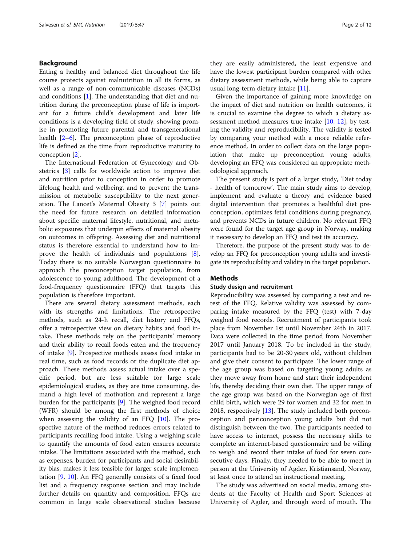# Background

Eating a healthy and balanced diet throughout the life course protects against malnutrition in all its forms, as well as a range of non-communicable diseases (NCDs) and conditions [\[1](#page-10-0)]. The understanding that diet and nutrition during the preconception phase of life is important for a future child's development and later life conditions is a developing field of study, showing promise in promoting future parental and transgenerational health [[2](#page-10-0)–[6](#page-10-0)]. The preconception phase of reproductive life is defined as the time from reproductive maturity to conception [[2\]](#page-10-0).

The International Federation of Gynecology and Obstetrics [[3\]](#page-10-0) calls for worldwide action to improve diet and nutrition prior to conception in order to promote lifelong health and wellbeing, and to prevent the transmission of metabolic susceptibility to the next generation. The Lancet's Maternal Obesity 3 [[7\]](#page-10-0) points out the need for future research on detailed information about specific maternal lifestyle, nutritional, and metabolic exposures that underpin effects of maternal obesity on outcomes in offspring. Assessing diet and nutritional status is therefore essential to understand how to improve the health of individuals and populations [\[8](#page-10-0)]. Today there is no suitable Norwegian questionnaire to approach the preconception target population, from adolescence to young adulthood. The development of a food-frequency questionnaire (FFQ) that targets this population is therefore important.

There are several dietary assessment methods, each with its strengths and limitations. The retrospective methods, such as 24-h recall, diet history and FFQs, offer a retrospective view on dietary habits and food intake. These methods rely on the participants' memory and their ability to recall foods eaten and the frequency of intake [\[9](#page-10-0)]. Prospective methods assess food intake in real time, such as food records or the duplicate diet approach. These methods assess actual intake over a specific period, but are less suitable for large scale epidemiological studies, as they are time consuming, demand a high level of motivation and represent a large burden for the participants [[9\]](#page-10-0). The weighed food record (WFR) should be among the first methods of choice when assessing the validity of an FFQ [[10](#page-10-0)]. The prospective nature of the method reduces errors related to participants recalling food intake. Using a weighing scale to quantify the amounts of food eaten ensures accurate intake. The limitations associated with the method, such as expenses, burden for participants and social desirability bias, makes it less feasible for larger scale implementation [\[9](#page-10-0), [10\]](#page-10-0). An FFQ generally consists of a fixed food list and a frequency response section and may include further details on quantity and composition. FFQs are common in large scale observational studies because

they are easily administered, the least expensive and have the lowest participant burden compared with other dietary assessment methods, while being able to capture usual long-term dietary intake [\[11](#page-10-0)].

Given the importance of gaining more knowledge on the impact of diet and nutrition on health outcomes, it is crucial to examine the degree to which a dietary assessment method measures true intake [\[10](#page-10-0), [12\]](#page-10-0), by testing the validity and reproducibility. The validity is tested by comparing your method with a more reliable reference method. In order to collect data on the large population that make up preconception young adults, developing an FFQ was considered an appropriate methodological approach.

The present study is part of a larger study, 'Diet today - health of tomorrow'. The main study aims to develop, implement and evaluate a theory and evidence based digital intervention that promotes a healthful diet preconception, optimizes fetal conditions during pregnancy, and prevents NCDs in future children. No relevant FFQ were found for the target age group in Norway, making it necessary to develop an FFQ and test its accuracy.

Therefore, the purpose of the present study was to develop an FFQ for preconception young adults and investigate its reproducibility and validity in the target population.

# **Methods**

## Study design and recruitment

Reproducibility was assessed by comparing a test and retest of the FFQ. Relative validity was assessed by comparing intake measured by the FFQ (test) with 7-day weighed food records. Recruitment of participants took place from November 1st until November 24th in 2017. Data were collected in the time period from November 2017 until January 2018. To be included in the study, participants had to be 20-30 years old, without children and give their consent to participate. The lower range of the age group was based on targeting young adults as they move away from home and start their independent life, thereby deciding their own diet. The upper range of the age group was based on the Norwegian age of first child birth, which were 29 for women and 32 for men in 2018, respectively [[13](#page-10-0)]. The study included both preconception and periconception young adults but did not distinguish between the two. The participants needed to have access to internet, possess the necessary skills to complete an internet-based questionnaire and be willing to weigh and record their intake of food for seven consecutive days. Finally, they needed to be able to meet in person at the University of Agder, Kristiansand, Norway, at least once to attend an instructional meeting.

The study was advertised on social media, among students at the Faculty of Health and Sport Sciences at University of Agder, and through word of mouth. The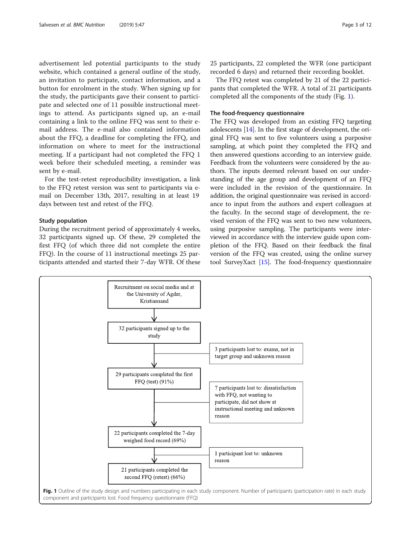advertisement led potential participants to the study website, which contained a general outline of the study, an invitation to participate, contact information, and a button for enrolment in the study. When signing up for the study, the participants gave their consent to participate and selected one of 11 possible instructional meetings to attend. As participants signed up, an e-mail containing a link to the online FFQ was sent to their email address. The e-mail also contained information about the FFQ, a deadline for completing the FFQ, and information on where to meet for the instructional meeting. If a participant had not completed the FFQ 1 week before their scheduled meeting, a reminder was sent by e-mail.

For the test-retest reproducibility investigation, a link to the FFQ retest version was sent to participants via email on December 13th, 2017, resulting in at least 19 days between test and retest of the FFQ.

## Study population

During the recruitment period of approximately 4 weeks, 32 participants signed up. Of these, 29 completed the first FFQ (of which three did not complete the entire FFQ). In the course of 11 instructional meetings 25 participants attended and started their 7-day WFR. Of these 25 participants, 22 completed the WFR (one participant recorded 6 days) and returned their recording booklet.

The FFQ retest was completed by 21 of the 22 participants that completed the WFR. A total of 21 participants completed all the components of the study (Fig. 1).

## The food-frequency questionnaire

The FFQ was developed from an existing FFQ targeting adolescents [\[14\]](#page-10-0). In the first stage of development, the original FFQ was sent to five volunteers using a purposive sampling, at which point they completed the FFQ and then answered questions according to an interview guide. Feedback from the volunteers were considered by the authors. The inputs deemed relevant based on our understanding of the age group and development of an FFQ were included in the revision of the questionnaire. In addition, the original questionnaire was revised in accordance to input from the authors and expert colleagues at the faculty. In the second stage of development, the revised version of the FFQ was sent to two new volunteers, using purposive sampling. The participants were interviewed in accordance with the interview guide upon completion of the FFQ. Based on their feedback the final version of the FFQ was created, using the online survey tool SurveyXact [\[15\]](#page-10-0). The food-frequency questionnaire

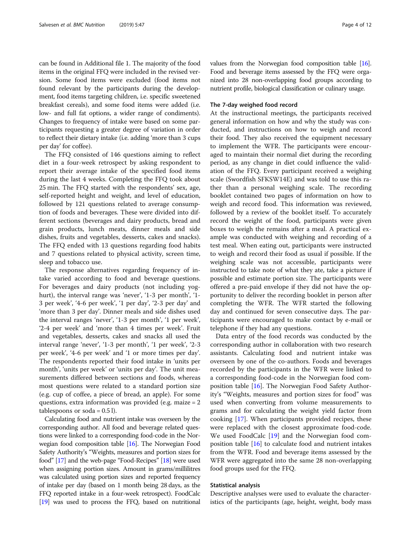can be found in Additional file 1. The majority of the food items in the original FFQ were included in the revised version. Some food items were excluded (food items not found relevant by the participants during the development, food items targeting children, i.e. specific sweetened breakfast cereals), and some food items were added (i.e. low- and full fat options, a wider range of condiments). Changes to frequency of intake were based on some participants requesting a greater degree of variation in order to reflect their dietary intake (i.e. adding 'more than 3 cups per day' for coffee).

The FFQ consisted of 146 questions aiming to reflect diet in a four-week retrospect by asking respondent to report their average intake of the specified food items during the last 4 weeks. Completing the FFQ took about 25 min. The FFQ started with the respondents' sex, age, self-reported height and weight, and level of education, followed by 121 questions related to average consumption of foods and beverages. These were divided into different sections (beverages and dairy products, bread and grain products, lunch meats, dinner meals and side dishes, fruits and vegetables, desserts, cakes and snacks). The FFQ ended with 13 questions regarding food habits and 7 questions related to physical activity, screen time, sleep and tobacco use.

The response alternatives regarding frequency of intake varied according to food and beverage questions. For beverages and dairy products (not including yoghurt), the interval range was 'never', '1-3 per month', '1- 3 per week', '4-6 per week', '1 per day', '2-3 per day' and 'more than 3 per day'. Dinner meals and side dishes used the interval ranges 'never', '1-3 per month', '1 per week', '2-4 per week' and 'more than 4 times per week'. Fruit and vegetables, desserts, cakes and snacks all used the interval range 'never', '1-3 per month', '1 per week', '2-3 per week', '4-6 per week' and '1 or more times per day'. The respondents reported their food intake in 'units per month', 'units per week' or 'units per day'. The unit measurements differed between sections and foods, whereas most questions were related to a standard portion size (e.g. cup of coffee, a piece of bread, an apple). For some questions, extra information was provided (e.g. maize = 2 tablespoons or  $soda = 0.5$  l).

Calculating food and nutrient intake was overseen by the corresponding author. All food and beverage related questions were linked to a corresponding food-code in the Norwegian food composition table [\[16\]](#page-10-0). The Norwegian Food Safety Authority's "Weights, measures and portion sizes for food" [\[17\]](#page-10-0) and the web-page "Food-Recipes" [\[18](#page-10-0)] were used when assigning portion sizes. Amount in grams/millilitres was calculated using portion sizes and reported frequency of intake per day (based on 1 month being 28 days, as the FFQ reported intake in a four-week retrospect). FoodCalc [[19](#page-10-0)] was used to process the FFQ, based on nutritional values from the Norwegian food composition table [\[16](#page-10-0)]. Food and beverage items assessed by the FFQ were organized into 28 non-overlapping food groups according to nutrient profile, biological classification or culinary usage.

## The 7-day weighed food record

At the instructional meetings, the participants received general information on how and why the study was conducted, and instructions on how to weigh and record their food. They also received the equipment necessary to implement the WFR. The participants were encouraged to maintain their normal diet during the recording period, as any change in diet could influence the validation of the FFQ. Every participant received a weighing scale (Swordfish SFKSW14E) and was told to use this rather than a personal weighing scale. The recording booklet contained two pages of information on how to weigh and record food. This information was reviewed, followed by a review of the booklet itself. To accurately record the weight of the food, participants were given boxes to weigh the remains after a meal. A practical example was conducted with weighing and recording of a test meal. When eating out, participants were instructed to weigh and record their food as usual if possible. If the weighing scale was not accessible, participants were instructed to take note of what they ate, take a picture if possible and estimate portion size. The participants were offered a pre-paid envelope if they did not have the opportunity to deliver the recording booklet in person after completing the WFR. The WFR started the following day and continued for seven consecutive days. The participants were encouraged to make contact by e-mail or telephone if they had any questions.

Data entry of the food records was conducted by the corresponding author in collaboration with two research assistants. Calculating food and nutrient intake was overseen by one of the co-authors. Foods and beverages recorded by the participants in the WFR were linked to a corresponding food-code in the Norwegian food composition table [\[16](#page-10-0)]. The Norwegian Food Safety Authority's "Weights, measures and portion sizes for food" was used when converting from volume measurements to grams and for calculating the weight yield factor from cooking [[17\]](#page-10-0). When participants provided recipes, these were replaced with the closest approximate food-code. We used FoodCalc [\[19](#page-10-0)] and the Norwegian food composition table [\[16\]](#page-10-0) to calculate food and nutrient intakes from the WFR. Food and beverage items assessed by the WFR were aggregated into the same 28 non-overlapping food groups used for the FFQ.

## Statistical analysis

Descriptive analyses were used to evaluate the characteristics of the participants (age, height, weight, body mass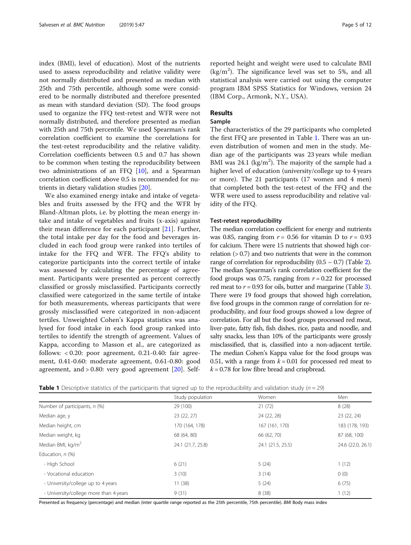index (BMI), level of education). Most of the nutrients used to assess reproducibility and relative validity were not normally distributed and presented as median with 25th and 75th percentile, although some were considered to be normally distributed and therefore presented as mean with standard deviation (SD). The food groups used to organize the FFQ test-retest and WFR were not normally distributed, and therefore presented as median with 25th and 75th percentile. We used Spearman's rank correlation coefficient to examine the correlations for the test-retest reproducibility and the relative validity. Correlation coefficients between 0.5 and 0.7 has shown to be common when testing the reproducibility between two administrations of an FFQ  $[10]$  $[10]$ , and a Spearman correlation coefficient above 0.5 is recommended for nutrients in dietary validation studies [[20](#page-10-0)].

We also examined energy intake and intake of vegetables and fruits assessed by the FFQ and the WFR by Bland-Altman plots, i.e. by plotting the mean energy intake and intake of vegetables and fruits (x-axis) against their mean difference for each participant [\[21](#page-10-0)]. Further, the total intake per day for the food and beverages included in each food group were ranked into tertiles of intake for the FFQ and WFR. The FFQ's ability to categorize participants into the correct tertile of intake was assessed by calculating the percentage of agreement. Participants were presented as percent correctly classified or grossly misclassified. Participants correctly classified were categorized in the same tertile of intake for both measurements, whereas participants that were grossly misclassified were categorized in non-adjacent tertiles. Unweighted Cohen's Kappa statistics was analysed for food intake in each food group ranked into tertiles to identify the strength of agreement. Values of Kappa, according to Masson et al., are categorized as follows: < 0.20: poor agreement, 0.21-0.40: fair agreement, 0.41-0.60: moderate agreement, 0.61-0.80: good agreement, and  $> 0.80$ : very good agreement  $[20]$  $[20]$  $[20]$ . Selfreported height and weight were used to calculate BMI  $(kg/m<sup>2</sup>)$ . The significance level was set to 5%, and all statistical analysis were carried out using the computer program IBM SPSS Statistics for Windows, version 24 (IBM Corp., Armonk, N.Y., USA).

## Results

## Sample

The characteristics of the 29 participants who completed the first FFQ are presented in Table 1. There was an uneven distribution of women and men in the study. Median age of the participants was 23 years while median BMI was  $24.1 \text{ (kg/m}^2)$ . The majority of the sample had a higher level of education (university/college up to 4 years or more). The 21 participants (17 women and 4 men) that completed both the test-retest of the FFQ and the WFR were used to assess reproducibility and relative validity of the FFQ.

## Test-retest reproducibility

The median correlation coefficient for energy and nutrients was 0.85, ranging from  $r = 0.56$  for vitamin D to  $r = 0.93$ for calcium. There were 15 nutrients that showed high correlation  $(0.7)$  and two nutrients that were in the common range of correlation for reproducibility  $(0.5 - 0.7)$  (Table [2](#page-5-0)). The median Spearman's rank correlation coefficient for the food groups was 0.75, ranging from  $r = 0.22$  for processed red meat to  $r = 0.93$  $r = 0.93$  for oils, butter and margarine (Table 3). There were 19 food groups that showed high correlation, five food groups in the common range of correlation for reproducibility, and four food groups showed a low degree of correlation. For all but the food groups processed red meat, liver-pate, fatty fish, fish dishes, rice, pasta and noodle, and salty snacks, less than 10% of the participants were grossly misclassified, that is, classified into a non-adjacent tertile. The median Cohen's Kappa value for the food groups was 0.51, with a range from  $k = 0.01$  for processed red meat to  $k = 0.78$  for low fibre bread and crispbread.

|  |  |  |  |  | <b>Table 1</b> Descriptive statistics of the participants that signed up to the reproducibility and validation study ( $n = 29$ ) |
|--|--|--|--|--|-----------------------------------------------------------------------------------------------------------------------------------|
|--|--|--|--|--|-----------------------------------------------------------------------------------------------------------------------------------|

|                                        | Study population  | Women             | Men               |
|----------------------------------------|-------------------|-------------------|-------------------|
| Number of participants, n (%)          | 29 (100)          | 21(72)            | 8(28)             |
| Median age, y                          | 23 (22, 27)       | 24 (22, 28)       | 23 (22, 24)       |
| Median height, cm                      | 170 (164, 178)    | 167 (161, 170)    | 183 (178, 193)    |
| Median weight, kg                      | 68 (64, 80)       | 66 (62, 70)       | 87 (68, 100)      |
| Median BMI, $\text{kg/m}^2$            | 24.1 (21.7, 25.8) | 24.1 (21.5, 25.5) | 24.6 (22.0, 26.1) |
| Education, $n$ (%)                     |                   |                   |                   |
| - High School                          | 6(21)             | 5(24)             | 1(12)             |
| - Vocational education                 | 3(10)             | 3(14)             | 0(0)              |
| - University/college up to 4 years     | 11(38)            | 5(24)             | 6(75)             |
| - University/college more than 4 years | 9(31)             | 8(38)             | 1(12)             |

Presented as frequency (percentage) and median (inter quartile range reported as the 25th percentile, 75th percentile). BMI Body mass index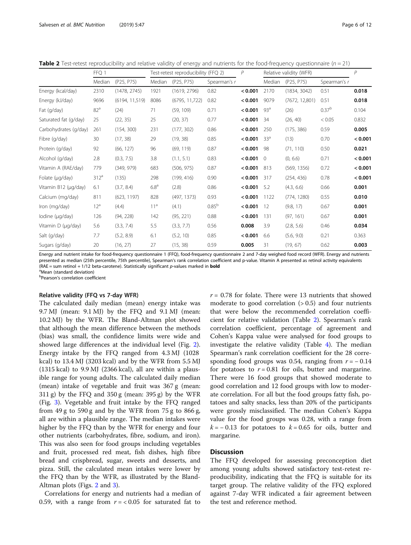<span id="page-5-0"></span>**Table 2** Test-retest reproducibility and relative validity of energy and nutrients for the food-frequency questionnaire ( $n = 21$ )

|                       | FFQ 1            |                | Test-retest reproducibility (FFQ 2) |                 |              | P       | Relative validity (WFR) | $\overline{P}$ |                   |         |
|-----------------------|------------------|----------------|-------------------------------------|-----------------|--------------|---------|-------------------------|----------------|-------------------|---------|
|                       | Median           | (P25, P75)     | Median                              | (P25, P75)      | Spearman's r |         | Median                  | (P25, P75)     | Spearman's r      |         |
| Energy (kcal/day)     | 2310             | (1478, 2745)   | 1921                                | (1619, 2796)    | 0.82         | < 0.001 | 2170                    | (1834, 3042)   | 0.51              | 0.018   |
| Energy (kJ/day)       | 9696             | (6194, 11,519) | 8086                                | (6795, 11, 722) | 0.82         | < 0.001 | 9079                    | (7672, 12,801) | 0.51              | 0.018   |
| Fat (g/day)           | 82 <sup>a</sup>  | (24)           | 71                                  | (59, 109)       | 0.71         | < 0.001 | 93 <sup>a</sup>         | (26)           | 0.37 <sup>b</sup> | 0.104   |
| Saturated fat (g/day) | 25               | (22, 35)       | 25                                  | (20, 37)        | 0.77         | < 0.001 | 34                      | (26, 40)       | < 0.05            | 0.832   |
| Carbohydrates (g/day) | 261              | (154, 300)     | 231                                 | (177, 302)      | 0.86         | < 0.001 | 250                     | (175, 386)     | 0.59              | 0.005   |
| Fibre (g/day)         | 30               | (17, 38)       | 29                                  | (19, 38)        | 0.85         | < 0.001 | 33 <sup>a</sup>         | (13)           | 0.70              | < 0.001 |
| Protein (g/day)       | 92               | (66, 127)      | 96                                  | (69, 119)       | 0.87         | < 0.001 | 98                      | (71, 110)      | 0.50              | 0.021   |
| Alcohol (g/day)       | 2.8              | (0.3, 7.5)     | 3.8                                 | (1.1, 5.1)      | 0.83         | < 0.001 | $\Omega$                | (0, 6.6)       | 0.71              | < 0.001 |
| Vitamin A (RAE/day)   | 779              | (349, 979)     | 683                                 | (506, 975)      | 0.87         | < 0.001 | 813                     | (569, 1356)    | 0.72              | < 0.001 |
| Folate (µg/day)       | 312 <sup>a</sup> | (135)          | 298                                 | (199, 416)      | 0.90         | < 0.001 | 317                     | (254, 436)     | 0.78              | < 0.001 |
| Vitamin B12 (µg/day)  | 6.1              | (3.7, 8.4)     | 6.8 <sup>a</sup>                    | (2.8)           | 0.86         | < 0.001 | 5.2                     | (4.3, 6.6)     | 0.66              | 0.001   |
| Calcium (mg/day)      | 811              | (623, 1197)    | 828                                 | (497, 1373)     | 0.93         | < 0.001 | 1122                    | (774, 1280)    | 0.55              | 0.010   |
| Iron (mg/day)         | 12 <sup>a</sup>  | (4.4)          | 11 <sup>a</sup>                     | (4.1)           | $0.85^{b}$   | < 0.001 | 12                      | (9.8, 17)      | 0.67              | 0.001   |
| lodine (µg/day)       | 126              | (94, 228)      | 142                                 | (95, 221)       | 0.88         | < 0.001 | 131                     | (97, 161)      | 0.67              | 0.001   |
| Vitamin D (µg/day)    | 5.6              | (3.3, 7.4)     | 5.5                                 | (3.3, 7.7)      | 0.56         | 0.008   | 3.9                     | (2.8, 5.6)     | 0.46              | 0.034   |
| Salt (g/day)          | 7.7              | (5.2, 8.9)     | 6.1                                 | (5.2, 10)       | 0.85         | < 0.001 | 6.6                     | (5.6, 9.0)     | 0.21              | 0.363   |
| Sugars (g/day)        | 20               | (16, 27)       | 27                                  | (15, 38)        | 0.59         | 0.005   | 31                      | (19, 67)       | 0.62              | 0.003   |

Energy and nutrient intake for food-frequency questionnaire 1 (FFQ), food-frequency questionnaire 2 and 7-day weighed food record (WFR). Energy and nutrients presented as median (25th percentile, 75th percentile), Spearman's rank correlation coefficient and p-value. Vitamin A presented as retinol activity equivalents (RAE = sum retinol + 1/12 beta-carotene). Statistically significant  $p$ -values marked in **bold** 

<sup>a</sup>Mean (standard deviation)

**b**Pearson's correlation coefficient

## Relative validity (FFQ vs 7-day WFR)

The calculated daily median (mean) energy intake was 9.7 MJ (mean: 9.1 MJ) by the FFQ and 9.1 MJ (mean: 10.2 MJ) by the WFR. The Bland-Altman plot showed that although the mean difference between the methods (bias) was small, the confidence limits were wide and showed large differences at the individual level (Fig. [2](#page-7-0)). Energy intake by the FFQ ranged from 4.3 MJ (1028 kcal) to 13.4 MJ (3203 kcal) and by the WFR from 5.5 MJ (1315 kcal) to 9.9 MJ (2366 kcal), all are within a plausible range for young adults. The calculated daily median (mean) intake of vegetable and fruit was 367 g (mean: 311 g) by the FFQ and 350 g (mean: 395 g) by the WFR (Fig. [3\)](#page-8-0). Vegetable and fruit intake by the FFQ ranged from 49 g to 590 g and by the WFR from  $75 g$  to 866 g, all are within a plausible range. The median intakes were higher by the FFQ than by the WFR for energy and four other nutrients (carbohydrates, fibre, sodium, and iron). This was also seen for food groups including vegetables and fruit, processed red meat, fish dishes, high fibre bread and crispbread, sugar, sweets and desserts, and pizza. Still, the calculated mean intakes were lower by the FFQ than by the WFR, as illustrated by the Bland-Altman plots (Figs. [2](#page-7-0) and [3](#page-8-0)).

Correlations for energy and nutrients had a median of 0.59, with a range from  $r = < 0.05$  for saturated fat to  $r = 0.78$  for folate. There were 13 nutrients that showed moderate to good correlation  $(> 0.5)$  and four nutrients that were below the recommended correlation coefficient for relative validation (Table 2). Spearman's rank correlation coefficient, percentage of agreement and Cohen's Kappa value were analysed for food groups to investigate the relative validity (Table [4\)](#page-9-0). The median Spearman's rank correlation coefficient for the 28 corresponding food groups was 0.54, ranging from  $r = -0.14$ for potatoes to  $r = 0.81$  for oils, butter and margarine. There were 16 food groups that showed moderate to good correlation and 12 food groups with low to moderate correlation. For all but the food groups fatty fish, potatoes and salty snacks, less than 20% of the participants were grossly misclassified. The median Cohen's Kappa value for the food groups was 0.28, with a range from  $k = -0.13$  for potatoes to  $k = 0.65$  for oils, butter and margarine.

## Discussion

The FFQ developed for assessing preconception diet among young adults showed satisfactory test-retest reproducibility, indicating that the FFQ is suitable for its target group. The relative validity of the FFQ explored against 7-day WFR indicated a fair agreement between the test and reference method.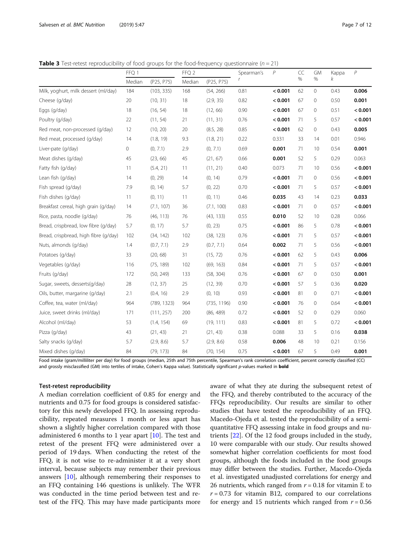<span id="page-6-0"></span>**Table 3** Test-retest reproducibility of food groups for the food-frequency questionnaire ( $n = 21$ )

|                                       | FFQ 1  |             | FFQ 2  |             | Spearman's | P       | CC | <b>GM</b>    | Kappa | P       |  |
|---------------------------------------|--------|-------------|--------|-------------|------------|---------|----|--------------|-------|---------|--|
|                                       | Median | (P25, P75)  | Median | (P25, P75)  | r          |         | %  | %            | k     |         |  |
| Milk, yoghurt, milk dessert (ml/day)  | 184    | (103, 335)  | 168    | (54, 266)   | 0.81       | < 0.001 | 62 | $\Omega$     | 0.43  | 0.006   |  |
| Cheese (g/day)                        | 20     | (10, 31)    | 18     | (2.9, 35)   | 0.82       | < 0.001 | 67 | 0            | 0.50  | 0.001   |  |
| Eggs (g/day)                          | 18     | (16, 54)    | 18     | (12, 66)    | 0.90       | < 0.001 | 67 | $\mathbf{0}$ | 0.51  | < 0.001 |  |
| Poultry (g/day)                       | 22     | (11, 54)    | 21     | (11, 31)    | 0.76       | < 0.001 | 71 | 5            | 0.57  | < 0.001 |  |
| Red meat, non-processed (g/day)       | 12     | (10, 20)    | 20     | (8.5, 28)   | 0.85       | < 0.001 | 62 | $\circ$      | 0.43  | 0.005   |  |
| Red meat, processed (g/day)           | 14     | (1.8, 19)   | 9.3    | (1.8, 21)   | 0.22       | 0.331   | 33 | 14           | 0.01  | 0.946   |  |
| Liver-pate (g/day)                    | 0      | (0, 7.1)    | 2.9    | (0, 7.1)    | 0.69       | 0.001   | 71 | 10           | 0.54  | 0.001   |  |
| Meat dishes (g/day)                   | 45     | (23, 66)    | 45     | (21, 67)    | 0.66       | 0.001   | 52 | 5            | 0.29  | 0.063   |  |
| Fatty fish (g/day)                    | 11     | (5.4, 21)   | 11     | (11, 21)    | 0.40       | 0.073   | 71 | 10           | 0.56  | < 0.001 |  |
| Lean fish (g/day)                     | 14     | (0, 29)     | 14     | (0, 14)     | 0.79       | < 0.001 | 71 | $\mathbf{0}$ | 0.56  | < 0.001 |  |
| Fish spread (g/day)                   | 7.9    | (0, 14)     | 5.7    | (0, 22)     | 0.70       | < 0.001 | 71 | 5            | 0.57  | < 0.001 |  |
| Fish dishes (g/day)                   | 11     | (0, 11)     | 11     | (0, 11)     | 0.46       | 0.035   | 43 | 14           | 0.23  | 0.033   |  |
| Breakfast cereal, high grain (g/day)  | 14     | (7.1, 107)  | 36     | (7.1, 100)  | 0.83       | < 0.001 | 71 | $\circ$      | 0.57  | < 0.001 |  |
| Rice, pasta, noodle (g/day)           | 76     | (46, 113)   | 76     | (43, 133)   | 0.55       | 0.010   | 52 | 10           | 0.28  | 0.066   |  |
| Bread, crispbread, low fibre (q/day)  | 5.7    | (0, 17)     | 5.7    | (0, 23)     | 0.75       | < 0.001 | 86 | 5            | 0.78  | < 0.001 |  |
| Bread, crispbread, high fibre (g/day) | 102    | (34, 142)   | 102    | (38, 123)   | 0.76       | < 0.001 | 71 | 5            | 0.57  | < 0.001 |  |
| Nuts, almonds (g/day)                 | 1.4    | (0.7, 7.1)  | 2.9    | (0.7, 7.1)  | 0.64       | 0.002   | 71 | 5            | 0.56  | < 0.001 |  |
| Potatoes (g/day)                      | 33     | (20, 68)    | 31     | (15, 72)    | 0.76       | < 0.001 | 62 | 5            | 0.43  | 0.006   |  |
| Vegetables (g/day)                    | 116    | (75, 189)   | 102    | (69, 163)   | 0.84       | < 0.001 | 71 | 5            | 0.57  | < 0.001 |  |
| Fruits (g/day)                        | 172    | (50, 249)   | 133    | (58, 304)   | 0.76       | < 0.001 | 67 | 0            | 0.50  | 0.001   |  |
| Sugar, sweets, desserts(g/day)        | 28     | (12, 37)    | 25     | (12, 39)    | 0.70       | < 0.001 | 57 | 5            | 0.36  | 0.020   |  |
| Oils, butter, margarine (g/day)       | 2.1    | (0.4, 16)   | 2.9    | (0, 10)     | 0.93       | < 0.001 | 81 | $\mathbf{0}$ | 0.71  | < 0.001 |  |
| Coffee, tea, water (ml/day)           | 964    | (789, 1323) | 964    | (735, 1196) | 0.90       | < 0.001 | 76 | $\mathbf{0}$ | 0.64  | < 0.001 |  |
| Juice, sweet drinks (ml/day)          | 171    | (111, 257)  | 200    | (86, 489)   | 0.72       | < 0.001 | 52 | 0            | 0.29  | 0.060   |  |
| Alcohol (ml/day)                      | 53     | (1.4, 154)  | 69     | (19, 111)   | 0.83       | < 0.001 | 81 | 5            | 0.72  | < 0.001 |  |
| Pizza (g/day)                         | 43     | (21, 43)    | 21     | (21, 43)    | 0.38       | 0.088   | 33 | 5            | 0.16  | 0.038   |  |
| Salty snacks (g/day)                  | 5.7    | (2.9, 8.6)  | 5.7    | (2.9, 8.6)  | 0.58       | 0.006   | 48 | 10           | 0.21  | 0.156   |  |
| Mixed dishes (g/day)                  | 84     | (79, 173)   | 84     | (70, 154)   | 0.75       | < 0.001 | 67 | 5            | 0.49  | 0.001   |  |

Food intake (gram/milliliter per day) for food groups (median, 25th and 75th percentile, Spearman's rank correlation coefficient, percent correctly classified (CC) and grossly misclassified (GM) into tertiles of intake, Cohen's Kappa value). Statistically significant p-values marked in **bold** 

## Test-retest reproducibility

A median correlation coefficient of 0.85 for energy and nutrients and 0.75 for food groups is considered satisfactory for this newly developed FFQ. In assessing reproducibility, repeated measures 1 month or less apart has shown a slightly higher correlation compared with those administered 6 months to 1 year apart [[10](#page-10-0)]. The test and retest of the present FFQ were administered over a period of 19 days. When conducting the retest of the FFQ, it is not wise to re-administer it at a very short interval, because subjects may remember their previous answers [\[10](#page-10-0)], although remembering their responses to an FFQ containing 146 questions is unlikely. The WFR was conducted in the time period between test and retest of the FFQ. This may have made participants more

aware of what they ate during the subsequent retest of the FFQ, and thereby contributed to the accuracy of the FFQs reproducibility. Our results are similar to other studies that have tested the reproducibility of an FFQ. Macedo-Ojeda et al. tested the reproducibility of a semiquantitative FFQ assessing intake in food groups and nutrients [\[22\]](#page-10-0). Of the 12 food groups included in the study, 10 were comparable with our study. Our results showed somewhat higher correlation coefficients for most food groups, although the foods included in the food groups may differ between the studies. Further, Macedo-Ojeda et al. investigated unadjusted correlations for energy and 26 nutrients, which ranged from  $r = 0.18$  for vitamin E to  $r = 0.73$  for vitamin B12, compared to our correlations for energy and 15 nutrients which ranged from  $r = 0.56$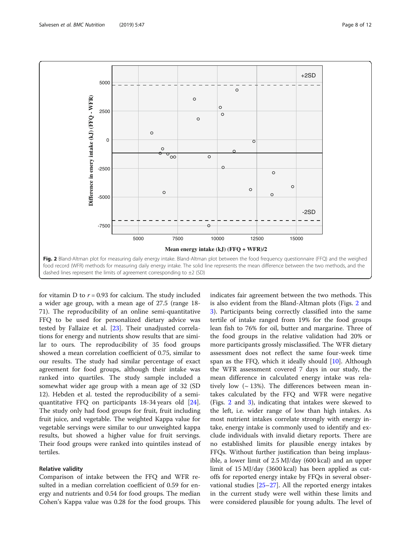<span id="page-7-0"></span>

for vitamin D to  $r = 0.93$  for calcium. The study included a wider age group, with a mean age of 27.5 (range 18- 71). The reproducibility of an online semi-quantitative FFQ to be used for personalized dietary advice was tested by Fallaize et al. [[23\]](#page-11-0). Their unadjusted correlations for energy and nutrients show results that are similar to ours. The reproducibility of 35 food groups showed a mean correlation coefficient of 0.75, similar to our results. The study had similar percentage of exact agreement for food groups, although their intake was ranked into quartiles. The study sample included a somewhat wider age group with a mean age of 32 (SD 12). Hebden et al. tested the reproducibility of a semiquantitative FFQ on participants 18-34 years old [\[24](#page-11-0)]. The study only had food groups for fruit, fruit including fruit juice, and vegetable. The weighted Kappa value for vegetable servings were similar to our unweighted kappa results, but showed a higher value for fruit servings. Their food groups were ranked into quintiles instead of tertiles.

# Relative validity

Comparison of intake between the FFQ and WFR resulted in a median correlation coefficient of 0.59 for energy and nutrients and 0.54 for food groups. The median Cohen's Kappa value was 0.28 for the food groups. This indicates fair agreement between the two methods. This is also evident from the Bland-Altman plots (Figs. 2 and [3\)](#page-8-0). Participants being correctly classified into the same tertile of intake ranged from 19% for the food groups lean fish to 76% for oil, butter and margarine. Three of the food groups in the relative validation had 20% or more participants grossly misclassified. The WFR dietary assessment does not reflect the same four-week time span as the FFQ, which it ideally should  $[10]$  $[10]$ . Although the WFR assessment covered 7 days in our study, the mean difference in calculated energy intake was relatively low  $({\sim}13\%)$ . The differences between mean intakes calculated by the FFQ and WFR were negative (Figs. 2 and [3](#page-8-0)), indicating that intakes were skewed to the left, i.e. wider range of low than high intakes. As most nutrient intakes correlate strongly with energy intake, energy intake is commonly used to identify and exclude individuals with invalid dietary reports. There are no established limits for plausible energy intakes by FFQs. Without further justification than being implausible, a lower limit of 2.5 MJ/day (600 kcal) and an upper limit of 15 MJ/day (3600 kcal) has been applied as cutoffs for reported energy intake by FFQs in several observational studies [\[25](#page-11-0)–[27\]](#page-11-0). All the reported energy intakes in the current study were well within these limits and were considered plausible for young adults. The level of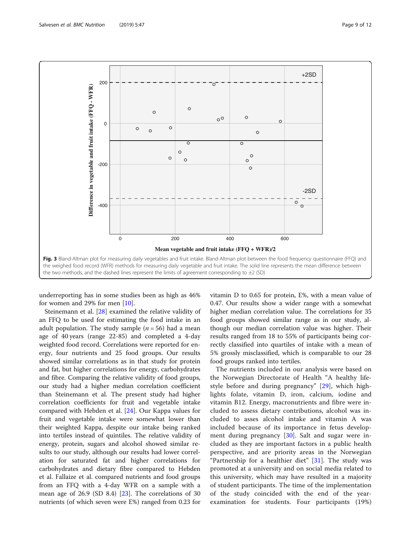<span id="page-8-0"></span>

underreporting has in some studies been as high as 46% for women and 29% for men [\[10](#page-10-0)].

Steinemann et al. [\[28](#page-11-0)] examined the relative validity of an FFQ to be used for estimating the food intake in an adult population. The study sample ( $n = 56$ ) had a mean age of 40 years (range 22-85) and completed a 4-day weighted food record. Correlations were reported for energy, four nutrients and 25 food groups. Our results showed similar correlations as in that study for protein and fat, but higher correlations for energy, carbohydrates and fibre. Comparing the relative validity of food groups, our study had a higher median correlation coefficient than Steinemann et al. The present study had higher correlation coefficients for fruit and vegetable intake compared with Hebden et al. [\[24](#page-11-0)]. Our Kappa values for fruit and vegetable intake were somewhat lower than their weighted Kappa, despite our intake being ranked into tertiles instead of quintiles. The relative validity of energy, protein, sugars and alcohol showed similar results to our study, although our results had lower correlation for saturated fat and higher correlations for carbohydrates and dietary fibre compared to Hebden et al. Fallaize et al. compared nutrients and food groups from an FFQ with a 4-day WFR on a sample with a mean age of 26.9 (SD 8.4) [\[23](#page-11-0)]. The correlations of 30 nutrients (of which seven were E%) ranged from 0.23 for vitamin D to 0.65 for protein, E%, with a mean value of 0.47. Our results show a wider range with a somewhat higher median correlation value. The correlations for 35 food groups showed similar range as in our study, although our median correlation value was higher. Their results ranged from 18 to 55% of participants being correctly classified into quartiles of intake with a mean of 5% grossly misclassified, which is comparable to our 28 food groups ranked into tertiles.

The nutrients included in our analysis were based on the Norwegian Directorate of Health "A healthy lifestyle before and during pregnancy" [[29\]](#page-11-0), which highlights folate, vitamin D, iron, calcium, iodine and vitamin B12. Energy, macronutrients and fibre were included to assess dietary contributions, alcohol was included to asses alcohol intake and vitamin A was included because of its importance in fetus develop-ment during pregnancy [\[30](#page-11-0)]. Salt and sugar were included as they are important factors in a public health perspective, and are priority areas in the Norwegian "Partnership for a healthier diet"  $[31]$  $[31]$ . The study was promoted at a university and on social media related to this university, which may have resulted in a majority of student participants. The time of the implementation of the study coincided with the end of the yearexamination for students. Four participants (19%)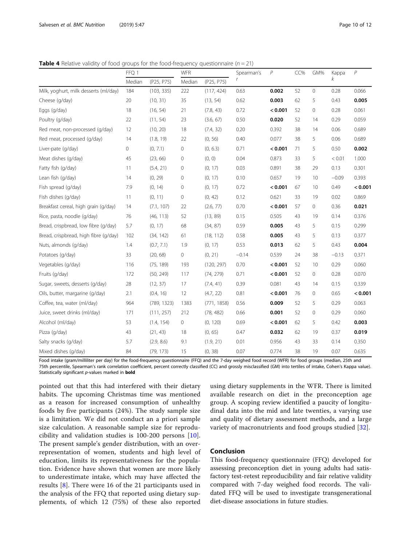<span id="page-9-0"></span>**Table 4** Relative validity of food groups for the food-frequency questionnaire ( $n = 21$ )

|                                       | FFQ 1  |             | <b>WFR</b>  |             | Spearman's | $\overline{P}$ | CC% | GM%          | Kappa   | $\overline{P}$ |
|---------------------------------------|--------|-------------|-------------|-------------|------------|----------------|-----|--------------|---------|----------------|
|                                       | Median | (P25, P75)  | Median      | (P25, P75)  |            |                |     |              | k       |                |
| Milk, yoghurt, milk desserts (ml/day) | 184    | (103, 335)  | 222         | (117, 424)  | 0.63       | 0.002          | 52  | 0            | 0.28    | 0.066          |
| Cheese (g/day)                        | 20     | (10, 31)    | 35          | (13, 54)    | 0.62       | 0.003          | 62  | 5            | 0.43    | 0.005          |
| Eggs (g/day)                          | 18     | (16, 54)    | 21          | (7.8, 43)   | 0.72       | < 0.001        | 52  | 0            | 0.28    | 0.061          |
| Poultry (g/day)                       | 22     | (11, 54)    | 23          | (3.6, 67)   | 0.50       | 0.020          | 52  | 14           | 0.29    | 0.059          |
| Red meat, non-processed (g/day)       | 12     | (10, 20)    | 18          | (7.4, 32)   | 0.20       | 0.392          | 38  | 14           | 0.06    | 0.689          |
| Red meat, processed (g/day)           | 14     | (1.8, 19)   | 22          | (0, 56)     | 0.40       | 0.077          | 38  | 5            | 0.06    | 0.689          |
| Liver-pate (g/day)                    | 0      | (0, 7.1)    | 0           | (0, 6.3)    | 0.71       | < 0.001        | 71  | 5            | 0.50    | 0.002          |
| Meat dishes (g/day)                   | 45     | (23, 66)    | 0           | (0, 0)      | 0.04       | 0.873          | 33  | 5            | < 0.01  | 1.000          |
| Fatty fish (g/day)                    | 11     | (5.4, 21)   | 0           | (0, 17)     | 0.03       | 0.891          | 38  | 29           | 0.13    | 0.301          |
| Lean fish (g/day)                     | 14     | (0, 29)     | $\mathbf 0$ | (0, 17)     | 0.10       | 0.657          | 19  | 10           | $-0.09$ | 0.393          |
| Fish spread (g/day)                   | 7.9    | (0, 14)     | $\mathbf 0$ | (0, 17)     | 0.72       | < 0.001        | 67  | 10           | 0.49    | < 0.001        |
| Fish dishes (g/day)                   | 11     | (0, 11)     | 0           | (0, 42)     | 0.12       | 0.621          | 33  | 19           | 0.02    | 0.869          |
| Breakfast cereal, high grain (g/day)  | 14     | (7.1, 107)  | 22          | (2.6, 77)   | 0.70       | < 0.001        | 57  | 0            | 0.36    | 0.021          |
| Rice, pasta, noodle (g/day)           | 76     | (46, 113)   | 52          | (13, 89)    | 0.15       | 0.505          | 43  | 19           | 0.14    | 0.376          |
| Bread, crispbread, low fibre (q/day)  | 5.7    | (0, 17)     | 68          | (34, 87)    | 0.59       | 0.005          | 43  | 5            | 0.15    | 0.299          |
| Bread, crispbread, high fibre (g/day) | 102    | (34, 142)   | 61          | (18, 112)   | 0.58       | 0.005          | 43  | 5            | 0.13    | 0.377          |
| Nuts, almonds (g/day)                 | 1.4    | (0.7, 7.1)  | 1.9         | (0, 17)     | 0.53       | 0.013          | 62  | 5            | 0.43    | 0.004          |
| Potatoes (g/day)                      | 33     | (20, 68)    | 0           | (0, 21)     | $-0.14$    | 0.539          | 24  | 38           | $-0.13$ | 0.371          |
| Vegetables (g/day)                    | 116    | (75, 189)   | 193         | (120, 297)  | 0.70       | < 0.001        | 52  | 10           | 0.29    | 0.060          |
| Fruits (g/day)                        | 172    | (50, 249)   | 117         | (74, 279)   | 0.71       | < 0.001        | 52  | $\mathbf{0}$ | 0.28    | 0.070          |
| Sugar, sweets, desserts (g/day)       | 28     | (12, 37)    | 17          | (7.4, 41)   | 0.39       | 0.081          | 43  | 14           | 0.15    | 0.339          |
| Oils, butter, margarine (g/day)       | 2.1    | (0.4, 16)   | 12          | (4.7, 22)   | 0.81       | < 0.001        | 76  | 0            | 0.65    | < 0.001        |
| Coffee, tea, water (ml/day)           | 964    | (789, 1323) | 1383        | (771, 1858) | 0.56       | 0.009          | 52  | 5            | 0.29    | 0.063          |
| Juice, sweet drinks (ml/day)          | 171    | (111, 257)  | 212         | (78, 482)   | 0.66       | 0.001          | 52  | 0            | 0.29    | 0.060          |
| Alcohol (ml/day)                      | 53     | (1.4, 154)  | 0           | (0, 120)    | 0.69       | < 0.001        | 62  | 5            | 0.42    | 0.003          |
| Pizza (g/day)                         | 43     | (21, 43)    | 18          | (0, 65)     | 0.47       | 0.032          | 62  | 19           | 0.37    | 0.019          |
| Salty snacks (g/day)                  | 5.7    | (2.9, 8.6)  | 9.1         | (1.9, 21)   | 0.01       | 0.956          | 43  | 33           | 0.14    | 0.350          |
| Mixed dishes (g/day)                  | 84     | (79, 173)   | 15          | (0, 38)     | 0.07       | 0.774          | 38  | 19           | 0.07    | 0.635          |

Food intake (gram/milliliter per day) for the food-frequency questionnaire (FFQ) and the 7-day weighed food record (WFR) for food groups (median, 25th and 75th percentile, Spearman's rank correlation coefficient, percent correctly classified (CC) and grossly misclassified (GM) into tertiles of intake, Cohen's Kappa value). Statistically significant p-values marked in **bold** 

pointed out that this had interfered with their dietary habits. The upcoming Christmas time was mentioned as a reason for increased consumption of unhealthy foods by five participants (24%). The study sample size is a limitation. We did not conduct an a priori sample size calculation. A reasonable sample size for reproducibility and validation studies is 100-200 persons [\[10](#page-10-0)]. The present sample's gender distribution, with an overrepresentation of women, students and high level of education, limits its representativeness for the population. Evidence have shown that women are more likely to underestimate intake, which may have affected the results [\[8](#page-10-0)]. There were 16 of the 21 participants used in the analysis of the FFQ that reported using dietary supplements, of which 12 (75%) of these also reported

using dietary supplements in the WFR. There is limited available research on diet in the preconception age group. A scoping review identified a paucity of longitudinal data into the mid and late twenties, a varying use and quality of dietary assessment methods, and a large variety of macronutrients and food groups studied [[32\]](#page-11-0).

# Conclusion

This food-frequency questionnaire (FFQ) developed for assessing preconception diet in young adults had satisfactory test-retest reproducibility and fair relative validity compared with 7-day weighed food records. The validated FFQ will be used to investigate transgenerational diet-disease associations in future studies.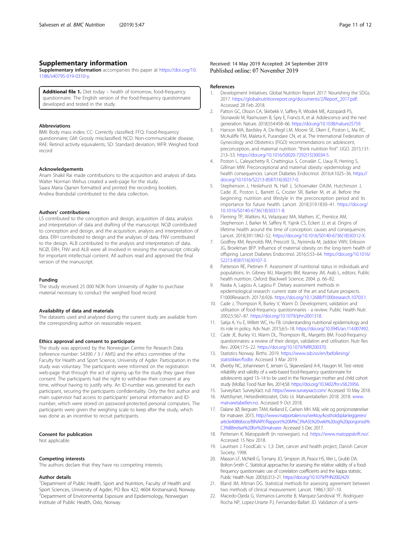## <span id="page-10-0"></span>Supplementary information

Supplementary information accompanies this paper at [https://doi.org/10.](https://doi.org/10.1186/s40795-019-0310-y) [1186/s40795-019-0310-y](https://doi.org/10.1186/s40795-019-0310-y).

Additional file 1. Diet today – health of tomorrow, food-frequency questionnaire. The English version of the food-frequency questionnaire developed and tested in the study.

## Abbreviations

BMI: Body mass index; CC: Correctly classified; FFQ: Food-frequency questionnaire; GM: Grossly misclassified; NCD: Non-communicable disease; RAE: Retinol activity equivalents; SD: Standard deviation; WFR: Weighed food record

## Acknowledgements

Anam Shakil Rai made contributions to the acquisition and analysis of data. Walter Norman Wehus created a web-page for the study. Saara Maria Ojanen formatted and printed the recording booklets. Andrea Brandsdal contributed to the data collection.

#### Authors' contributions

LS contributed to the conception and design, acquisition of data, analysis and interpretation of data and drafting of the manuscript. NCØ contributed to conception and design, and the acquisition, analysis and interpretation of data. ERH contributed to design and the analyses of data. FNV contributed to the design. ALB contributed to the analysis and interpretation of data. NCØ, ERH, FNV and ALB were all involved in revising the manuscript critically for important intellectual content. All authors read and approved the final version of the manuscript.

#### Funding

The study received 25 000 NOK from University of Agder to purchase material necessary to conduct the weighed food record.

## Availability of data and materials

The datasets used and analysed during the current study are available from the corresponding author on reasonable request.

## Ethics approval and consent to participate

The study was approved by the Norwegian Centre for Research Data (reference number: 54390 / 3 / AMS) and the ethics committee of the Faculty for Health and Sport Science, University of Agder. Participation in the study was voluntary. The participants were informed on the registration web-page that through the act of signing up for the study they gave their consent. The participants had the right to withdraw their consent at any time, without having to justify why. An ID-number was generated for each participant, securing the participants confidentiality. Only the first author and main supervisor had access to participants' personal information and IDnumber, which were stored on password-protected personal computers. The participants were given the weighing scale to keep after the study, which was done as an incentive to recruit participants.

#### Consent for publication

Not applicable.

#### Competing interests

The authors declare that they have no competing interests.

## Author details

<sup>1</sup>Department of Public Health, Sport and Nutrition, Faculty of Health and Sport Sciences, University of Agder, PO Box 422, 4604 Kristiansand, Norway. 2 Department of Environmental Exposure and Epidemiology, Norwegian Institute of Public Health, Oslo, Norway.

#### References

- 1. Development Initiatives. Global Nutrition Report 2017: Nourishing the SDGs. 2017. [https://globalnutritionreport.org/documents/2/Report\\_2017.pdf](https://globalnutritionreport.org/documents/2/Report_2017.pdf). Accessed 28 Feb 2018.
- 2. Patton GC, Olsson CA, Skirbekk V, Saffery R, Wlodek ME, Azzopardi PS, Stonawski M, Rasmussen B, Spry E, Francis K, et al. Adolescence and the next generation. Nature. 2018;554:458–66. <https://doi.org/10.1038/nature25759>.
- 3. Hanson MA, Bardsley A, De-Regil LM, Moore SE, Oken E, Poston L, Ma RC, McAuliffe FM, Maleta K, Purandare CN, et al. The International Federation of Gynecology and Obstetrics (FIGO) recommendations on adolescent, preconception, and maternal nutrition: "think nutrition first". IJGO. 2015;131: 213–53. [https://doi.org/10.1016/S0020-7292\(15\)30034-5.](https://doi.org/10.1016/S0020-7292(15)30034-5)
- 4. Poston L, Caleyachetty R, Cnattingius S, Corvalán C, Uauy R, Herring S, Gillman MW. Preconceptional and maternal obesity: epidemiology and health consequences. Lancet Diabetes Endocrinol. 2016;4:1025–36. [https://](https://doi.org/10.1016/S2213-8587(16)30217-0) [doi.org/10.1016/S2213-8587\(16\)30217-0](https://doi.org/10.1016/S2213-8587(16)30217-0).
- 5. Stephenson J, Heslehurst N, Hall J, Schoenaker DAJM, Hutchinson J, Cade JE, Poston L, Barrett G, Crozier SR, Barker M, et al. Before the beginning: nutrition and lifestyle in the preconception period and its importance for future health. Lancet. 2018;319:1830–41. [https://doi.org/](https://doi.org/10.1016/S0140-6736(18)30311-8) [10.1016/S0140-6736\(18\)30311-8](https://doi.org/10.1016/S0140-6736(18)30311-8).
- 6. Fleming TP, Watkins AJ, Velazquez MA, Mathers JC, Prentice AM, Stephenson J, Barker M, Saffery R, Yajnik CS, Eckert JJ, et al. Origins of lifetime health around the time of conception: causes and consequences. Lancet. 2018;391:1842–52. [https://doi.org/10.1016/S0140-6736\(18\)30312-X.](https://doi.org/10.1016/S0140-6736(18)30312-X)
- 7. Godfrey KM, Reynolds RM, Prescott SL, Nyirenda M, Jaddoe VWV, Eriksson JG, Broekman BFP. Influence of maternal obesity on the long-term health of offspring. Lancet Diabetes Endocrinol. 2016;5:53–64. [https://doi.org/10.1016/](https://doi.org/10.1016/S2213-8587(16)30107-3) [S2213-8587\(16\)30107-3](https://doi.org/10.1016/S2213-8587(16)30107-3).
- 8. Patterson RE, Pietinen P. Assessment of nutritional status in individuals and populations. In: Gibney MJ, Margetts BM, Kearney JM, Arab L, editors. Public health nutrition. Oxford: Blackwell Science; 2004. p. 66–82.
- 9. Naska A, Lagiou A, Lagiou P. Dietary assessment methods in epidemiological research: current state of the art and future prospects. F1000Research. 2017;6:926. [https://doi.org/10.12688/f1000research.10703.1.](https://doi.org/10.12688/f1000research.10703.1)
- 10. Cade J, Thompson R, Burley V, Warm D. Development, validation and utilisation of food-frequency questionnaires - a review. Public Health Nutr. 2002;5:567–87. [https://doi.org/10.1079/phn2001318.](https://doi.org/10.1079/phn2001318)
- 11. Satija A, Yu E, Willett WC, Hu FB. Understanding nutritional epidemiology and its role in policy. Adv Nutr. 2015;6:5–18. <https://doi.org/10.3945/an.114.007492>.
- 12. Cade JE, Burley VJ, Warm DL, Thompson RL, Margetts BM. Food-frequency questionnaires: a review of their design, validation and utilisation. Nutr Res Rev. 2004;17:5–22. [https://doi.org/10.1079/NRR200370.](https://doi.org/10.1079/NRR200370)
- 13. Statistics Norway. Births. 2019. [https://www.ssb.no/en/befolkning/](https://www.ssb.no/en/befolkning/statistikker/fodte) [statistikker/fodte](https://www.ssb.no/en/befolkning/statistikker/fodte). Accessed 3 Mar 2019.
- 14. Øverby NC, Johannesen E, Jensen G, Skjaevesland A-K, Haugen M. Test–retest reliability and validity of a web-based food-frequency questionnaire for adolescents aged 13–14 to be used in the Norwegian mother and child cohort study (MoBa). Food Nutr Res. 2014;58. [https://doi.org/10.3402/fnr.v58.23956.](https://doi.org/10.3402/fnr.v58.23956)
- 15. SurveyXact. SurveyXact. n.d. <https://www.surveyxact.com/> Accessed 10 May 2018.
- 16. Mattilsynet, Helsedirektoratet, Oslo Ui. Matvaretabellen 2018. 2018. [www.](http://www.matvaretabellen.no) [matvaretabellen.no](http://www.matvaretabellen.no). Accessed 9 Oct 2018.
- 17. Dalane JØ, Bergvatn TAM, Kielland E, Carlsen MH. Mål, vekt og porsjonsstørrelser for matvarer. 2015. [http://www.matportalen.no/verktoy/kostholdsplanleggeren/](http://www.matportalen.no/verktoy/kostholdsplanleggeren/article40868.ece/BINARY/Rapport:%20M%C3%A5l,%20vekt%20og%20porsjonsst%C3%B8rrelser%20for%20matvarer) [article40868.ece/BINARY/Rapport:%20M%C3%A5l,%20vekt%20og%20porsjonsst%](http://www.matportalen.no/verktoy/kostholdsplanleggeren/article40868.ece/BINARY/Rapport:%20M%C3%A5l,%20vekt%20og%20porsjonsst%C3%B8rrelser%20for%20matvarer) [C3%B8rrelser%20for%20matvarer.](http://www.matportalen.no/verktoy/kostholdsplanleggeren/article40868.ece/BINARY/Rapport:%20M%C3%A5l,%20vekt%20og%20porsjonsst%C3%B8rrelser%20for%20matvarer) Accessed 5 Dec 2017.
- 18. Pettersen K. Matoppskrift (in norwegian). n.d. <https://www.matoppskrift.no/>. Accessed 15 Nov 2018.
- 19. Lauritsen J. FoodCalc v. 1,3: Diet, cancer and health project, Danish Cancer Society; 1998.
- 20. Masson LF, McNeill G, Tomany JO, Simpson JA, Peace HS, Wei L, Grubb DA, Bolton-Smith C. Statistical approaches for assessing the relative validity of a foodfrequency questionnaire: use of correlation coefficients and the kappa statistic. Public Health Nutr. 2003;6:313–21. <https://doi.org/10.1079/PHN2002429>.
- 21. Bland JM, Altman DG. Statistical methods for assessing agreement between two methods of clinical measurement. Lancet. 1986;1:307–10.
- 22. Macedo-Ojeda G, Vizmanos-Lamotte B, Marquez-Sandoval YF, Rodriguez-Rocha NP, Lopez-Uriarte PJ, Fernandez-Ballart JD. Validation of a semi-